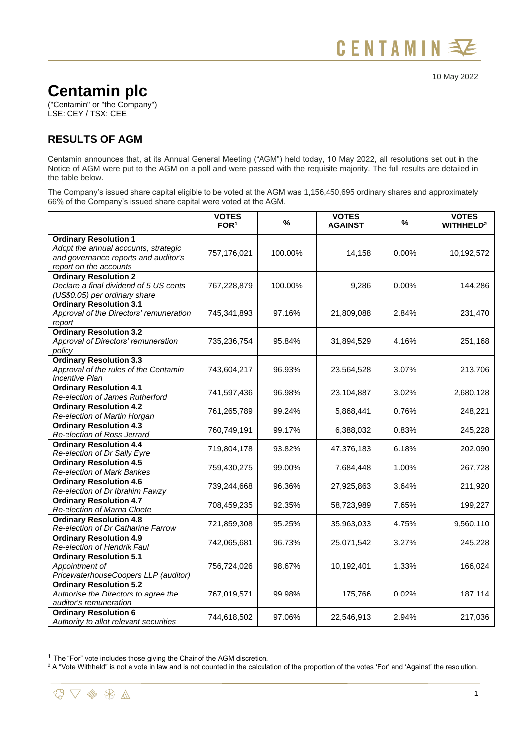## 10 May 2022

## **Centamin plc**

("Centamin" or "the Company") LSE: CEY / TSX: CEE

## **RESULTS OF AGM**

Centamin announces that, at its Annual General Meeting ("AGM") held today, 10 May 2022, all resolutions set out in the Notice of AGM were put to the AGM on a poll and were passed with the requisite majority. The full results are detailed in the table below.

The Company's issued share capital eligible to be voted at the AGM was 1,156,450,695 ordinary shares and approximately 66% of the Company's issued share capital were voted at the AGM.

|                                                                                                                                        | <b>VOTES</b><br>FOR <sup>1</sup> | $\%$    | <b>VOTES</b><br><b>AGAINST</b> | $\%$  | <b>VOTES</b><br>WITHHELD <sup>2</sup> |
|----------------------------------------------------------------------------------------------------------------------------------------|----------------------------------|---------|--------------------------------|-------|---------------------------------------|
| <b>Ordinary Resolution 1</b><br>Adopt the annual accounts, strategic<br>and governance reports and auditor's<br>report on the accounts | 757,176,021                      | 100.00% | 14,158                         | 0.00% | 10,192,572                            |
| <b>Ordinary Resolution 2</b><br>Declare a final dividend of 5 US cents<br>(US\$0.05) per ordinary share                                | 767,228,879                      | 100.00% | 9,286                          | 0.00% | 144,286                               |
| <b>Ordinary Resolution 3.1</b><br>Approval of the Directors' remuneration<br>report                                                    | 745,341,893                      | 97.16%  | 21,809,088                     | 2.84% | 231,470                               |
| <b>Ordinary Resolution 3.2</b><br>Approval of Directors' remuneration<br>policy                                                        | 735,236,754                      | 95.84%  | 31,894,529                     | 4.16% | 251,168                               |
| <b>Ordinary Resolution 3.3</b><br>Approval of the rules of the Centamin<br><b>Incentive Plan</b>                                       | 743,604,217                      | 96.93%  | 23,564,528                     | 3.07% | 213,706                               |
| <b>Ordinary Resolution 4.1</b><br>Re-election of James Rutherford                                                                      | 741,597,436                      | 96.98%  | 23,104,887                     | 3.02% | 2,680,128                             |
| <b>Ordinary Resolution 4.2</b><br>Re-election of Martin Horgan                                                                         | 761,265,789                      | 99.24%  | 5,868,441                      | 0.76% | 248,221                               |
| <b>Ordinary Resolution 4.3</b><br>Re-election of Ross Jerrard                                                                          | 760,749,191                      | 99.17%  | 6,388,032                      | 0.83% | 245,228                               |
| <b>Ordinary Resolution 4.4</b><br>Re-election of Dr Sally Eyre                                                                         | 719,804,178                      | 93.82%  | 47,376,183                     | 6.18% | 202,090                               |
| <b>Ordinary Resolution 4.5</b><br>Re-election of Mark Bankes                                                                           | 759,430,275                      | 99.00%  | 7,684,448                      | 1.00% | 267,728                               |
| <b>Ordinary Resolution 4.6</b><br>Re-election of Dr Ibrahim Fawzy                                                                      | 739,244,668                      | 96.36%  | 27,925,863                     | 3.64% | 211,920                               |
| <b>Ordinary Resolution 4.7</b><br>Re-election of Marna Cloete                                                                          | 708,459,235                      | 92.35%  | 58,723,989                     | 7.65% | 199,227                               |
| <b>Ordinary Resolution 4.8</b><br>Re-election of Dr Catharine Farrow                                                                   | 721,859,308                      | 95.25%  | 35,963,033                     | 4.75% | 9,560,110                             |
| <b>Ordinary Resolution 4.9</b><br>Re-election of Hendrik Faul                                                                          | 742,065,681                      | 96.73%  | 25,071,542                     | 3.27% | 245,228                               |
| <b>Ordinary Resolution 5.1</b><br>Appointment of<br>PricewaterhouseCoopers LLP (auditor)                                               | 756,724,026                      | 98.67%  | 10,192,401                     | 1.33% | 166,024                               |
| <b>Ordinary Resolution 5.2</b><br>Authorise the Directors to agree the<br>auditor's remuneration                                       | 767,019,571                      | 99.98%  | 175,766                        | 0.02% | 187,114                               |
| <b>Ordinary Resolution 6</b><br>Authority to allot relevant securities                                                                 | 744,618,502                      | 97.06%  | 22,546,913                     | 2.94% | 217,036                               |

 $1$  The "For" vote includes those giving the Chair of the AGM discretion.

<sup>&</sup>lt;sup>2</sup> A "Vote Withheld" is not a vote in law and is not counted in the calculation of the proportion of the votes 'For' and 'Against' the resolution.